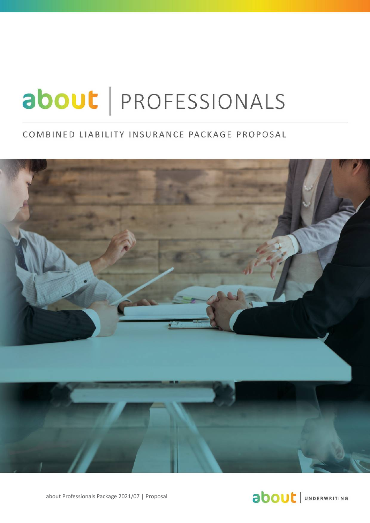# about | PROFESSIONALS

## COMBINED LIABILITY INSURANCE PACKAGE PROPOSAL



About Professionals Package 2017/06 │ **Proposal** about Professionals Package 2021/07 │ Proposal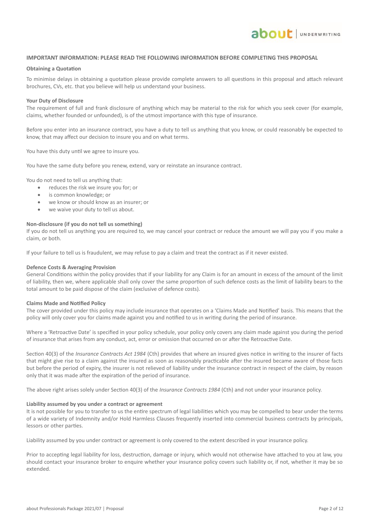## **IMPORTANT INFORMATION: PLEASE READ THE FOLLOWING INFORMATION BEFORE COMPLETING THIS PROPOSAL**

**about** JUNDERWRITING

#### **Obtaining a Quotation**

To minimise delays in obtaining a quotation please provide complete answers to all questions in this proposal and attach relevant brochures, CVs, etc. that you believe will help us understand your business.

#### **Your Duty of Disclosure**

The requirement of full and frank disclosure of anything which may be material to the risk for which you seek cover (for example, claims, whether founded or unfounded), is of the utmost importance with this type of insurance.

Before you enter into an insurance contract, you have a duty to tell us anything that you know, or could reasonably be expected to know, that may affect our decision to insure you and on what terms.

You have this duty until we agree to insure you.

You have the same duty before you renew, extend, vary or reinstate an insurance contract.

You do not need to tell us anything that:

- reduces the risk we insure you for; or
- is common knowledge; or
- we know or should know as an insurer; or
- we waive your duty to tell us about.

#### **Non-disclosure (if you do not tell us something)**

If you do not tell us anything you are required to, we may cancel your contract or reduce the amount we will pay you if you make a claim, or both.

If your failure to tell us is fraudulent, we may refuse to pay a claim and treat the contract as if it never existed.

#### **Defence Costs & Averaging Provision**

General Conditions within the policy provides that if your liability for any Claim is for an amount in excess of the amount of the limit of liability, then we, where applicable shall only cover the same proportion of such defence costs as the limit of liability bears to the total amount to be paid dispose of the claim (exclusive of defence costs).

#### **Claims Made and Notified Policy**

The cover provided under this policy may include insurance that operates on a 'Claims Made and Notified' basis. This means that the policy will only cover you for claims made against you and notified to us in writing during the period of insurance.

Where a 'Retroactive Date' is specified in your policy schedule, your policy only covers any claim made against you during the period of insurance that arises from any conduct, act, error or omission that occurred on or after the Retroactive Date.

Section 40(3) of the *Insurance Contracts Act 1984* (Cth) provides that where an insured gives notice in writing to the insurer of facts that might give rise to a claim against the insured as soon as reasonably practicable after the insured became aware of those facts but before the period of expiry, the insurer is not relieved of liability under the insurance contract in respect of the claim, by reason only that it was made after the expiration of the period of insurance.

The above right arises solely under Section 40(3) of the *Insurance Contracts 1984* (Cth) and not under your insurance policy.

#### **Liability assumed by you under a contract or agreement**

It is not possible for you to transfer to us the entire spectrum of legal liabilities which you may be compelled to bear under the terms of a wide variety of Indemnity and/or Hold Harmless Clauses frequently inserted into commercial business contracts by principals, lessors or other parties.

Liability assumed by you under contract or agreement is only covered to the extent described in your insurance policy.

Prior to accepting legal liability for loss, destruction, damage or injury, which would not otherwise have attached to you at law, you should contact your insurance broker to enquire whether your insurance policy covers such liability or, if not, whether it may be so extended.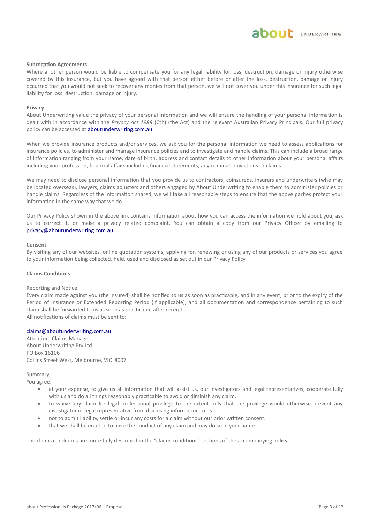#### **Subrogation Agreements**

Where another person would be liable to compensate you for any legal liability for loss, destruction, damage or injury otherwise covered by this insurance, but you have agreed with that person either before or after the loss, destruction, damage or injury occurred that you would not seek to recover any monies from that person, we will not cover you under this insurance for such legal liability for loss, destruction, damage or injury.

#### **Privacy**

About Underwriting value the privacy of your personal information and we will ensure the handling of your personal information is dealt with in accordance with the *Privacy Act 1988* (Cth) (the Act) and the relevant Australian Privacy Principals. Our full privacy policy can be accessed at **aboutunderwriting.com.au** 

When we provide insurance products and/or services, we ask you for the personal information we need to assess applications for insurance policies, to administer and manage insurance policies and to investigate and handle claims. This can include a broad range of information ranging from your name, date of birth, address and contact details to other information about your personal affairs including your profession, financial affairs including financial statements, any criminal convictions or claims.

We may need to disclose personal information that you provide us to contractors, coinsureds, insurers and underwriters (who may be located overseas), lawyers, claims adjusters and others engaged by About Underwriting to enable them to administer policies or handle claims. Regardless of the information shared, we will take all reasonable steps to ensure that the above parties protect your information in the same way that we do.

Our Privacy Policy shown in the above link contains information about how you can access the information we hold about you, ask us to correct it, or make a privacy related complaint. You can obtain a copy from our Privacy Officer by emailing to privacy@aboutunderwriting.com.au

#### **Consent**

By visiting any of our websites, online quotation systems, applying for, renewing or using any of our products or services you agree to your information being collected, held, used and disclosed as set out in our Privacy Policy.

#### **Claims Conditions**

#### Reporting and Notice

Every claim made against you (the insured) shall be notified to us as soon as practicable, and in any event, prior to the expiry of the Period of Insurance or Extended Reporting Period (if applicable), and all documentation and correspondence pertaining to such claim shall be forwarded to us as soon as practicable after receipt. All notifications of claims must be sent to:

#### claims@aboutunderwriting.com.au

Attention: Claims Manager About Underwriting Pty Ltd PO Box 16106 Collins Street West, Melbourne, VIC 8007

#### Summary

You agree:

- at your expense, to give us all information that will assist us, our investigators and legal representatives, cooperate fully with us and do all things reasonably practicable to avoid or diminish any claim.
- to waive any claim for legal professional privilege to the extent only that the privilege would otherwise prevent any investigator or legal representative from disclosing information to us.
- not to admit liability, settle or incur any costs for a claim without our prior written consent.
- that we shall be entitled to have the conduct of any claim and may do so in your name.

The claims conditions are more fully described in the "claims conditions" sections of the accompanying policy.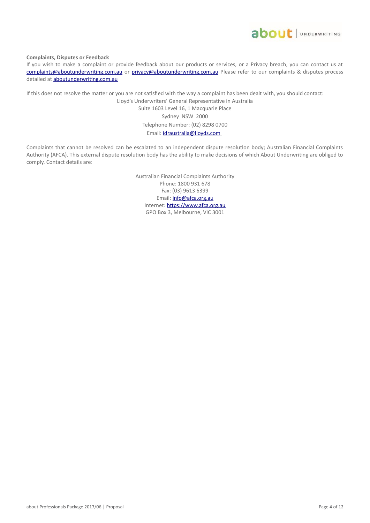

**Complaints, Disputes or Feedback**

If you wish to make a complaint or provide feedback about our products or services, or a Privacy breach, you can contact us at complaints@aboutunderwriting.com.au or privacy@aboutunderwriting.com.au Please refer to our complaints & disputes process detailed at **aboutunderwriting.com.au** 

If this does not resolve the matter or you are not satisfied with the way a complaint has been dealt with, you should contact:

Lloyd's Underwriters' General Representative in Australia Suite 1603 Level 16, 1 Macquarie Place Sydney NSW 2000 Telephone Number: (02) 8298 0700 Email: idraustralia@lloyds.com

Complaints that cannot be resolved can be escalated to an independent dispute resolution body; Australian Financial Complaints Authority (AFCA). This external dispute resolution body has the ability to make decisions of which About Underwriting are obliged to comply. Contact details are:

> Australian Financial Complaints Authority Phone: 1800 931 678 Fax: (03) 9613 6399 Email: *info@afca.org.au* Internet: [https://www.afca.org.au](https://www.afca.org.au/) GPO Box 3, Melbourne, VIC 3001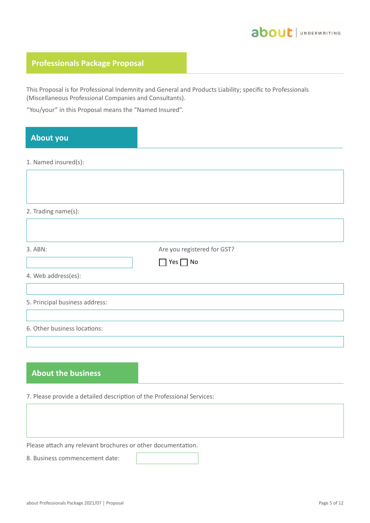

### **Professionals Package Proposal**

This Proposal is for Professional Indemnity and General and Products Liability; specific to Professionals (Miscellaneous Professional Companies and Consultants).

"You/your" in this Proposal means the "Named Insured".

## **About you**

1. Named insured(s):

| 2. Trading name(s):            |                             |  |
|--------------------------------|-----------------------------|--|
|                                |                             |  |
| 3. ABN:                        | Are you registered for GST? |  |
|                                | $\Box$ Yes $\Box$ No        |  |
| 4. Web address(es):            |                             |  |
|                                |                             |  |
| 5. Principal business address: |                             |  |
|                                |                             |  |
| 6. Other business locations:   |                             |  |
|                                |                             |  |

### **About the business**

7. Please provide a detailed description of the Professional Services:

Please attach any relevant brochures or other documentation.

8. Business commencement date: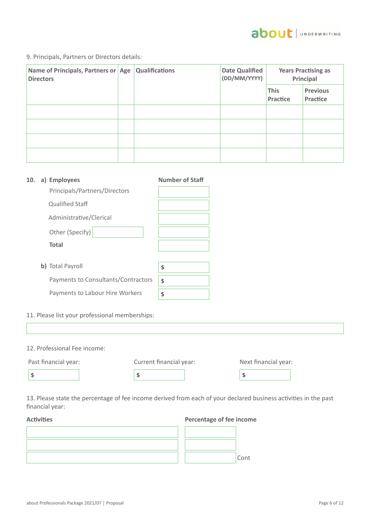

9. Principals, Partners or Directors details:

| Name of Principals, Partners or Age<br><b>Directors</b> | <b>Qualifications</b> | <b>Date Qualified</b><br>(DD/MM/YYYY) | <b>Years Practising as</b><br>Principal |                             |
|---------------------------------------------------------|-----------------------|---------------------------------------|-----------------------------------------|-----------------------------|
|                                                         |                       |                                       | <b>This</b><br>Practice                 | <b>Previous</b><br>Practice |
|                                                         |                       |                                       |                                         |                             |
|                                                         |                       |                                       |                                         |                             |
|                                                         |                       |                                       |                                         |                             |
|                                                         |                       |                                       |                                         |                             |

| 10. | a) Employees                        | <b>Number of Staff</b> |
|-----|-------------------------------------|------------------------|
|     | Principals/Partners/Directors       |                        |
|     | <b>Qualified Staff</b>              |                        |
|     | Administrative/Clerical             |                        |
|     | Other (Specify)                     |                        |
|     | <b>Total</b>                        |                        |
|     |                                     |                        |
|     | b) Total Payroll                    | \$                     |
|     | Payments to Consultants/Contractors | \$                     |
|     | Payments to Labour Hire Workers     | \$                     |
|     |                                     |                        |

11. Please list your professional memberships:

| 12. Professional Fee income: |                         |                      |  |
|------------------------------|-------------------------|----------------------|--|
| Past financial year:         | Current financial year: | Next financial year: |  |
|                              | \$                      | S                    |  |
|                              |                         |                      |  |

13. Please state the percentage of fee income derived from each of your declared business activities in the past financial year:

#### **Activities Percentage of fee income**

|  | Cont |
|--|------|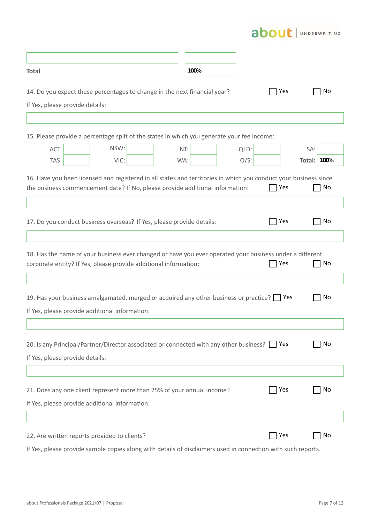|  |  | UNDERWRITING |
|--|--|--------------|
|  |  |              |

| <b>Total</b>                                                                                                                                                                                      | 100% |         |     |                    |
|---------------------------------------------------------------------------------------------------------------------------------------------------------------------------------------------------|------|---------|-----|--------------------|
| 14. Do you expect these percentages to change in the next financial year?                                                                                                                         |      |         | Yes | No                 |
| If Yes, please provide details:                                                                                                                                                                   |      |         |     |                    |
|                                                                                                                                                                                                   |      |         |     |                    |
| 15. Please provide a percentage split of the states in which you generate your fee income:                                                                                                        |      |         |     |                    |
| NSW:<br>ACT:                                                                                                                                                                                      | NT:  | QLD:    |     | SA:                |
| TAS:<br>VIC:                                                                                                                                                                                      | WA:  | $O/S$ : |     | <b>Total: 100%</b> |
| 16. Have you been licensed and registered in all states and territories in which you conduct your business since<br>the business commencement date? If No, please provide additional information: |      |         | Yes | No                 |
|                                                                                                                                                                                                   |      |         |     |                    |
| 17. Do you conduct business overseas? If Yes, please provide details:                                                                                                                             |      |         | Yes | No                 |
|                                                                                                                                                                                                   |      |         |     |                    |
| 18. Has the name of your business ever changed or have you ever operated your business under a different<br>corporate entity? If Yes, please provide additional information:                      |      |         | Yes | No                 |
|                                                                                                                                                                                                   |      |         |     |                    |
| 19. Has your business amalgamated, merged or acquired any other business or practice? Pes                                                                                                         |      |         |     | No                 |
| If Yes, please provide additional information:                                                                                                                                                    |      |         |     |                    |
|                                                                                                                                                                                                   |      |         |     |                    |
| 20. Is any Principal/Partner/Director associated or connected with any other business? Yes                                                                                                        |      |         |     | No                 |
| If Yes, please provide details:                                                                                                                                                                   |      |         |     |                    |
|                                                                                                                                                                                                   |      |         |     |                    |
|                                                                                                                                                                                                   |      |         |     |                    |
| 21. Does any one client represent more than 25% of your annual income?                                                                                                                            |      |         | Yes | No                 |
| If Yes, please provide additional information:                                                                                                                                                    |      |         |     |                    |
|                                                                                                                                                                                                   |      |         |     |                    |
| 22. Are written reports provided to clients?                                                                                                                                                      |      |         | Yes | No                 |

If Yes, please provide sample copies along with details of disclaimers used in connection with such reports.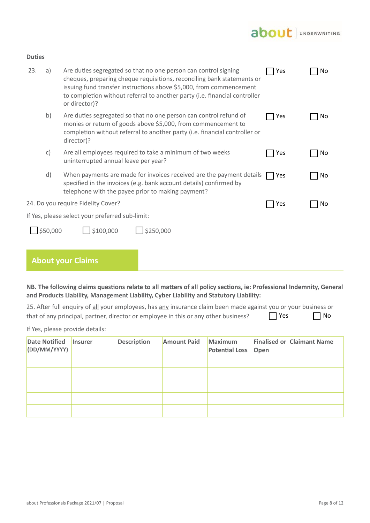## about JUNDERWRITING

| or director)?                                                                                                                                                                                                                               | No |
|---------------------------------------------------------------------------------------------------------------------------------------------------------------------------------------------------------------------------------------------|----|
| b)<br>Are duties segregated so that no one person can control refund of<br>Yes<br>monies or return of goods above \$5,000, from commencement to<br>completion without referral to another party (i.e. financial controller or<br>director)? |    |
| $\mathsf{C}$<br>Are all employees required to take a minimum of two weeks<br>Yes<br>uninterrupted annual leave per year?                                                                                                                    | No |
| d)<br>When payments are made for invoices received are the payment details<br>Yes<br>specified in the invoices (e.g. bank account details) confirmed by<br>telephone with the payee prior to making payment?                                | No |
| 24. Do you require Fidelity Cover?<br>Yes                                                                                                                                                                                                   | No |
| If Yes, please select your preferred sub-limit:                                                                                                                                                                                             |    |
| 550,000<br>\$100,000<br>\$250,000                                                                                                                                                                                                           |    |
|                                                                                                                                                                                                                                             |    |

#### **About your Claims**

**Duties**

**NB. The following claims questions relate to all matters of all policy sections, ie: Professional Indemnity, General and Products Liability, Management Liability, Cyber Liability and Statutory Liability:**

| 25. After full enquiry of all your employees, has any insurance claim been made against you or your business or |             |           |
|-----------------------------------------------------------------------------------------------------------------|-------------|-----------|
| that of any principal, partner, director or employee in this or any other business?                             | $\prod$ Yes | $\Box$ No |

If Yes, please provide details:

| Date Notified Insurer<br>(DD/MM/YYYY) | <b>Description</b> | <b>Amount Paid</b> | Maximum<br><b>Potential Loss</b> | Open | <b>Finalised or Claimant Name</b> |
|---------------------------------------|--------------------|--------------------|----------------------------------|------|-----------------------------------|
|                                       |                    |                    |                                  |      |                                   |
|                                       |                    |                    |                                  |      |                                   |
|                                       |                    |                    |                                  |      |                                   |
|                                       |                    |                    |                                  |      |                                   |
|                                       |                    |                    |                                  |      |                                   |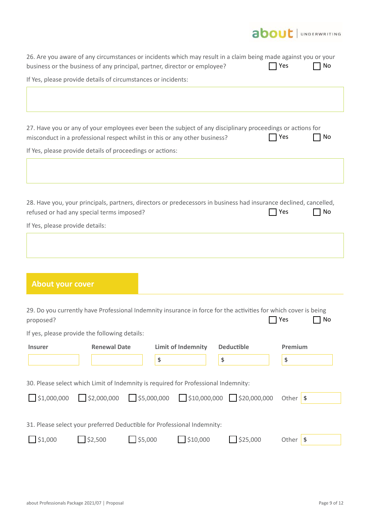

|                                                               |                                  | 26. Are you aware of any circumstances or incidents which may result in a claim being made against you or your<br>business or the business of any principal, partner, director or employee? |                                                       | Yes<br>No        |
|---------------------------------------------------------------|----------------------------------|---------------------------------------------------------------------------------------------------------------------------------------------------------------------------------------------|-------------------------------------------------------|------------------|
| If Yes, please provide details of circumstances or incidents: |                                  |                                                                                                                                                                                             |                                                       |                  |
|                                                               |                                  |                                                                                                                                                                                             |                                                       |                  |
|                                                               |                                  | 27. Have you or any of your employees ever been the subject of any disciplinary proceedings or actions for<br>misconduct in a professional respect whilst in this or any other business?    |                                                       | Yes<br>No        |
| If Yes, please provide details of proceedings or actions:     |                                  |                                                                                                                                                                                             |                                                       |                  |
|                                                               |                                  |                                                                                                                                                                                             |                                                       |                  |
| refused or had any special terms imposed?                     |                                  | 28. Have you, your principals, partners, directors or predecessors in business had insurance declined, cancelled,                                                                           |                                                       | No<br>Yes        |
| If Yes, please provide details:                               |                                  |                                                                                                                                                                                             |                                                       |                  |
|                                                               |                                  |                                                                                                                                                                                             |                                                       |                  |
|                                                               |                                  |                                                                                                                                                                                             |                                                       |                  |
|                                                               |                                  |                                                                                                                                                                                             |                                                       |                  |
| <b>About your cover</b>                                       |                                  |                                                                                                                                                                                             |                                                       |                  |
| proposed?                                                     |                                  | 29. Do you currently have Professional Indemnity insurance in force for the activities for which cover is being                                                                             |                                                       | No<br>Yes        |
| If yes, please provide the following details:                 |                                  |                                                                                                                                                                                             |                                                       |                  |
| <b>Insurer</b>                                                | <b>Renewal Date</b>              | <b>Limit of Indemnity</b>                                                                                                                                                                   | <b>Deductible</b>                                     | Premium          |
|                                                               |                                  | \$                                                                                                                                                                                          | \$                                                    | \$               |
|                                                               |                                  | 30. Please select which Limit of Indemnity is required for Professional Indemnity:                                                                                                          |                                                       |                  |
| $\sqrt{51,000,000}$                                           | 52,000,000                       | 55,000,000                                                                                                                                                                                  | $\frac{1}{2}$ \$10,000,000 $\frac{1}{2}$ \$20,000,000 | Other $\sqrt{s}$ |
|                                                               |                                  | 31. Please select your preferred Deductible for Professional Indemnity:                                                                                                                     |                                                       |                  |
| $\bigcup$ \$1,000                                             | $\Box$ \$2,500<br>$\Box$ \$5,000 | $\Box$ \$10,000                                                                                                                                                                             | $\frac{1}{2}$ \$25,000                                | Other $\sqrt{s}$ |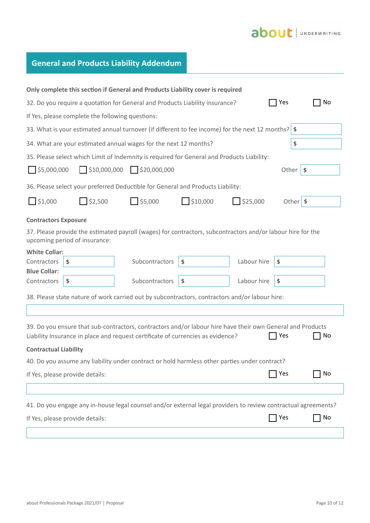## about JUNDERWRITING

## **General and Products Liability Addendum**

|                                                                                     |                                                  | Only complete this section if General and Products Liability cover is required                                                                                                                |          |                    |                  |    |
|-------------------------------------------------------------------------------------|--------------------------------------------------|-----------------------------------------------------------------------------------------------------------------------------------------------------------------------------------------------|----------|--------------------|------------------|----|
| Yes<br>32. Do you require a quotation for General and Products Liability insurance? |                                                  |                                                                                                                                                                                               |          |                    |                  | No |
|                                                                                     | If Yes, please complete the following questions: |                                                                                                                                                                                               |          |                    |                  |    |
|                                                                                     |                                                  | 33. What is your estimated annual turnover (if different to fee income) for the next 12 months? $\$                                                                                           |          |                    |                  |    |
|                                                                                     |                                                  | 34. What are your estimated annual wages for the next 12 months?                                                                                                                              |          |                    | \$               |    |
|                                                                                     |                                                  | 35. Please select which Limit of Indemnity is required for General and Products Liability:                                                                                                    |          |                    |                  |    |
| $\frac{1}{55,000,000}$                                                              |                                                  | $$10,000,000$ $$20,000,000$                                                                                                                                                                   |          |                    | Other $\sqrt{s}$ |    |
|                                                                                     |                                                  | 36. Please select your preferred Deductible for General and Products Liability:                                                                                                               |          |                    |                  |    |
| $\frac{1}{2}$ \$1,000                                                               | \$2,500                                          | $\frac{1}{5}$ \$5,000                                                                                                                                                                         | \$10,000 | $\bigcup$ \$25,000 | Other $\sqrt{s}$ |    |
| <b>Contractors Exposure</b>                                                         |                                                  |                                                                                                                                                                                               |          |                    |                  |    |
|                                                                                     | upcoming period of insurance:                    | 37. Please provide the estimated payroll (wages) for contractors, subcontractors and/or labour hire for the                                                                                   |          |                    |                  |    |
| <b>White Collar:</b>                                                                |                                                  |                                                                                                                                                                                               |          |                    |                  |    |
| Contractors                                                                         | \$                                               | Subcontractors                                                                                                                                                                                | \$       | Labour hire        | \$               |    |
| <b>Blue Collar:</b><br>Contractors                                                  | \$                                               | Subcontractors                                                                                                                                                                                | \$       | Labour hire        | \$               |    |
|                                                                                     |                                                  | 38. Please state nature of work carried out by subcontractors, contractors and/or labour hire:                                                                                                |          |                    |                  |    |
|                                                                                     |                                                  |                                                                                                                                                                                               |          |                    |                  |    |
|                                                                                     |                                                  | 39. Do you ensure that sub-contractors, contractors and/or labour hire have their own General and Products<br>Liability Insurance in place and request certificate of currencies as evidence? |          |                    | Yes              | No |
| <b>Contractual Liability</b>                                                        |                                                  |                                                                                                                                                                                               |          |                    |                  |    |
|                                                                                     |                                                  | 40. Do you assume any liability under contract or hold harmless other parties under contract?                                                                                                 |          |                    |                  |    |
|                                                                                     | If Yes, please provide details:                  |                                                                                                                                                                                               |          |                    | 7 Yes            | No |
|                                                                                     |                                                  |                                                                                                                                                                                               |          |                    |                  |    |
|                                                                                     |                                                  | 41. Do you engage any in-house legal counsel and/or external legal providers to review contractual agreements?                                                                                |          |                    |                  |    |
|                                                                                     | If Yes, please provide details:                  |                                                                                                                                                                                               |          |                    | Yes              | No |
|                                                                                     |                                                  |                                                                                                                                                                                               |          |                    |                  |    |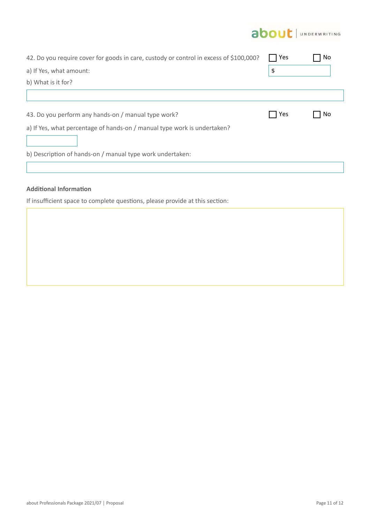

| 42. Do you require cover for goods in care, custody or control in excess of \$100,000? | 7 Yes | No |
|----------------------------------------------------------------------------------------|-------|----|
| a) If Yes, what amount:                                                                | Φ     |    |
| b) What is it for?                                                                     |       |    |
|                                                                                        |       |    |
| 43. Do you perform any hands-on / manual type work?                                    | Yes   | No |
| a) If Yes, what percentage of hands-on / manual type work is undertaken?               |       |    |
| b) Description of hands-on / manual type work undertaken:                              |       |    |
|                                                                                        |       |    |

#### **Additional Information**

If insufficient space to complete questions, please provide at this section: